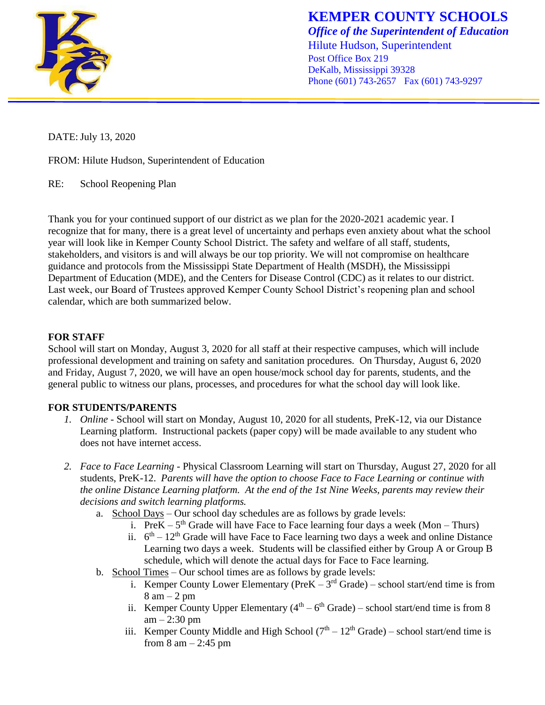

**KEMPER COUNTY SCHOOLS** *Office of the Superintendent of Education* Hilute Hudson, Superintendent Post Office Box 219 DeKalb, Mississippi 39328 Phone (601) 743-2657 Fax (601) 743-9297

DATE: July 13, 2020

FROM: Hilute Hudson, Superintendent of Education

RE: School Reopening Plan

Thank you for your continued support of our district as we plan for the 2020-2021 academic year. I recognize that for many, there is a great level of uncertainty and perhaps even anxiety about what the school year will look like in Kemper County School District. The safety and welfare of all staff, students, stakeholders, and visitors is and will always be our top priority. We will not compromise on healthcare guidance and protocols from the Mississippi State Department of Health (MSDH), the Mississippi Department of Education (MDE), and the Centers for Disease Control (CDC) as it relates to our district. Last week, our Board of Trustees approved Kemper County School District's reopening plan and school calendar, which are both summarized below.

## **FOR STAFF**

School will start on Monday, August 3, 2020 for all staff at their respective campuses, which will include professional development and training on safety and sanitation procedures. On Thursday, August 6, 2020 and Friday, August 7, 2020, we will have an open house/mock school day for parents, students, and the general public to witness our plans, processes, and procedures for what the school day will look like.

## **FOR STUDENTS/PARENTS**

- *1. Online -* School will start on Monday, August 10, 2020 for all students, PreK-12, via our Distance Learning platform. Instructional packets (paper copy) will be made available to any student who does not have internet access.
- *2. Face to Face Learning*  Physical Classroom Learning will start on Thursday, August 27, 2020 for all students, PreK-12. *Parents will have the option to choose Face to Face Learning or continue with the online Distance Learning platform. At the end of the 1st Nine Weeks, parents may review their decisions and switch learning platforms.*
	- a. School Days Our school day schedules are as follows by grade levels:
		- i. Pre $K 5<sup>th</sup>$  Grade will have Face to Face learning four days a week (Mon Thurs)
		- ii.  $6<sup>th</sup> 12<sup>th</sup>$  Grade will have Face to Face learning two days a week and online Distance Learning two days a week. Students will be classified either by Group A or Group B schedule, which will denote the actual days for Face to Face learning.
	- b. School Times Our school times are as follows by grade levels:
		- i. Kemper County Lower Elementary ( $Pre K 3<sup>rd</sup> Grade$ ) school start/end time is from  $8 \text{ am} - 2 \text{ pm}$
		- ii. Kemper County Upper Elementary  $(4<sup>th</sup> 6<sup>th</sup> Grade) school start/end time is from 8$  $am - 2:30$  pm
		- iii. Kemper County Middle and High School  $(7<sup>th</sup> 12<sup>th</sup> Grade) school start/end time is$ from  $8 \text{ am} - 2:45 \text{ pm}$